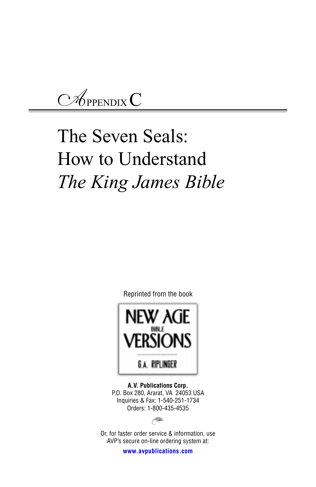*A*PPENDIX C

# The Seven Seals: How to Understand *The King James Bible*

Reprinted from the book



**A.V. Publications Corp.** P.O. Box 280, Ararat, VA 24053 USA Inquiries & Fax: 1-540-251-1734 Orders: 1-800-435-4535



Or, for faster order service & information, use AVP's secure on-line ordering system at:

**www.avpublications.com**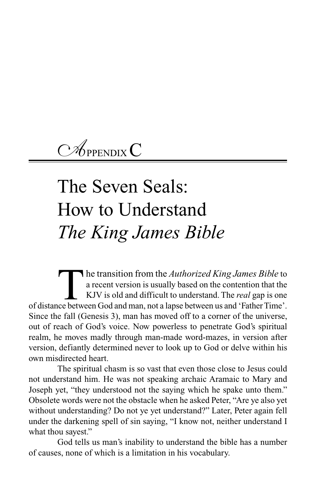*A*PPENDIX C

# The Seven Seals: How to Understand *The King James Bible*

The transition from the *Authorized King James Bible* to a recent version is usually based on the contention that the KJV is old and difficult to understand. The *real* gap is one ce between God and man, not a lapse betwee a recent version is usually based on the contention that the KJV is old and difficult to understand. The *real* gap is one of distance between God and man, not a lapse between us and 'Father Time'. Since the fall (Genesis 3), man has moved off to a corner of the universe, out of reach of God's voice. Now powerless to penetrate God's spiritual realm, he moves madly through man-made word-mazes, in version after version, defiantly determined never to look up to God or delve within his own misdirected heart.

The spiritual chasm is so vast that even those close to Jesus could not understand him. He was not speaking archaic Aramaic to Mary and Joseph yet, "they understood not the saying which he spake unto them." Obsolete words were not the obstacle when he asked Peter, "Are ye also yet without understanding? Do not ye yet understand?" Later, Peter again fell under the darkening spell of sin saying, "I know not, neither understand I what thou sayest."

God tells us man's inability to understand the bible has a number of causes, none of which is a limitation in his vocabulary.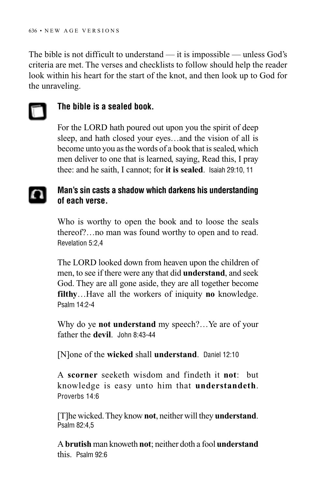The bible is not difficult to understand — it is impossible — unless God's criteria are met. The verses and checklists to follow should help the reader look within his heart for the start of the knot, and then look up to God for the unraveling.



## **The bible is a sealed book.**

For the LORD hath poured out upon you the spirit of deep sleep, and hath closed your eyes…and the vision of all is become unto you as the words of a book that is sealed, which men deliver to one that is learned, saying, Read this, I pray thee: and he saith, I cannot; for **it is sealed**. Isaiah 29:10, 11

## **Man's sin casts a shadow which darkens his understanding of each verse.**

Who is worthy to open the book and to loose the seals thereof?…no man was found worthy to open and to read. Revelation 5:2,4

The LORD looked down from heaven upon the children of men, to see if there were any that did **understand**, and seek God. They are all gone aside, they are all together become **filthy**…Have all the workers of iniquity **no** knowledge. Psalm 14:2-4

Why do ye **not understand** my speech?…Ye are of your father the **devil**. John 8:43-44

[N]one of the **wicked** shall **understand**. Daniel 12:10

A **scorner** seeketh wisdom and findeth it **not**: but knowledge is easy unto him that **understandeth**. Proverbs 14:6

[T]he wicked. They know **not**, neither will they **understand**. Psalm 82:4,5

A **brutish** man knoweth **not**; neither doth a fool **understand** this. Psalm 92:6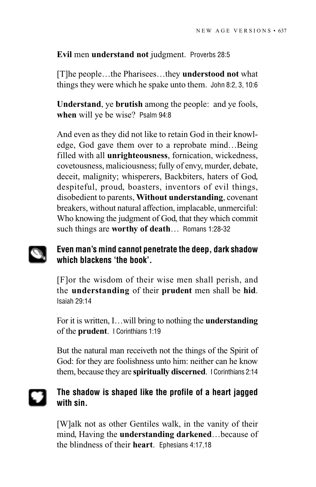### **Evil** men **understand not** judgment. Proverbs 28:5

[T]he people…the Pharisees…they **understood not** what things they were which he spake unto them. John 8:2, 3, 10:6

**Understand**, ye **brutish** among the people: and ye fools, **when** will ye be wise? Psalm 94:8

And even as they did not like to retain God in their knowledge, God gave them over to a reprobate mind…Being filled with all **unrighteousness**, fornication, wickedness, covetousness, maliciousness; fully of envy, murder, debate, deceit, malignity; whisperers, Backbiters, haters of God, despiteful, proud, boasters, inventors of evil things, disobedient to parents, **Without understanding**, covenant breakers, without natural affection, implacable, unmerciful: Who knowing the judgment of God, that they which commit such things are **worthy of death**… Romans 1:28-32

#### **Even man's mind cannot penetrate the deep, dark shadow** D **which blackens 'the book'.**

[F]or the wisdom of their wise men shall perish, and the **understanding** of their **prudent** men shall be **hid**. Isaiah 29:14

For it is written, I…will bring to nothing the **understanding** of the **prudent**. I Corinthians 1:19

But the natural man receiveth not the things of the Spirit of God: for they are foolishness unto him: neither can he know them, because they are **spiritually discerned**. I Corinthians 2:14

## **The shadow is shaped like the profile of a heart jagged with sin.**

[W]alk not as other Gentiles walk, in the vanity of their mind, Having the **understanding darkened**…because of the blindness of their **heart**. Ephesians 4:17,18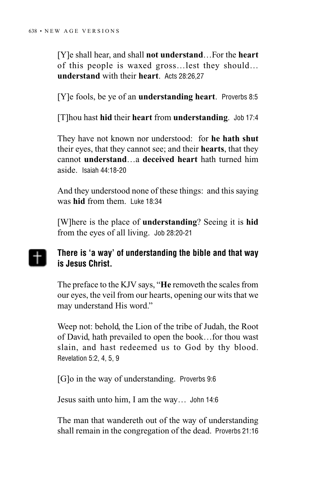[Y]e shall hear, and shall **not understand**…For the **heart** of this people is waxed gross…lest they should… **understand** with their **heart**. Acts 28:26,27

[Y]e fools, be ye of an **understanding heart**. Proverbs 8:5

[T]hou hast **hid** their **heart** from **understanding**. Job 17:4

They have not known nor understood: for **he hath shut** their eyes, that they cannot see; and their **hearts**, that they cannot **understand**…a **deceived heart** hath turned him aside. Isaiah 44:18-20

And they understood none of these things: and this saying was **hid** from them. Luke 18:34

[W]here is the place of **understanding**? Seeing it is **hid** from the eyes of all living. Job 28:20-21

#### **There is 'a way' of understanding the bible and that way**  $\pm$ **is Jesus Christ.**

The preface to the KJV says, "**He** removeth the scales from our eyes, the veil from our hearts, opening our wits that we may understand His word."

Weep not: behold, the Lion of the tribe of Judah, the Root of David, hath prevailed to open the book…for thou wast slain, and hast redeemed us to God by thy blood. Revelation 5:2, 4, 5, 9

[G]o in the way of understanding. Proverbs 9:6

Jesus saith unto him, I am the way… John 14:6

The man that wandereth out of the way of understanding shall remain in the congregation of the dead. Proverbs 21:16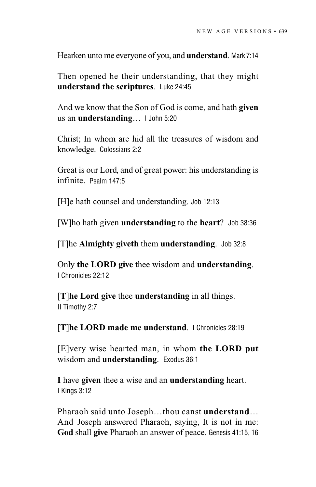Hearken unto me everyone of you, and **understand**. Mark 7:14

Then opened he their understanding, that they might **understand the scriptures**. Luke 24:45

And we know that the Son of God is come, and hath **given** us an **understanding**… I John 5:20

Christ; In whom are hid all the treasures of wisdom and knowledge. Colossians 2:2

Great is our Lord, and of great power: his understanding is infinite. Psalm 147:5

[H]e hath counsel and understanding. Job 12:13

[W]ho hath given **understanding** to the **heart**? Job 38:36

[T]he **Almighty giveth** them **understanding**. Job 32:8

Only **the LORD give** thee wisdom and **understanding**. I Chronicles 22:12

[**T**]**he Lord give** thee **understanding** in all things. II Timothy 2:7

[**T**]**he LORD made me understand**. I Chronicles 28:19

[E]very wise hearted man, in whom **the LORD put** wisdom and **understanding**. Exodus 36:1

**I** have **given** thee a wise and an **understanding** heart. I Kings 3:12

Pharaoh said unto Joseph…thou canst **understand**… And Joseph answered Pharaoh, saying, It is not in me: **God** shall **give** Pharaoh an answer of peace. Genesis 41:15, 16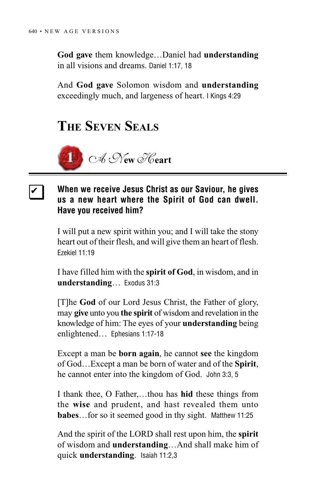❏ ✔

**God gave** them knowledge…Daniel had **understanding** in all visions and dreams. Daniel 1:17, 18

And **God gave** Solomon wisdom and **understanding** exceedingly much, and largeness of heart. I Kings 4:29

## **THE SEVEN SEALS**



## **When we receive Jesus Christ as our Saviour, he gives us a new heart where the Spirit of God can dwell. Have you received him?**

I will put a new spirit within you; and I will take the stony heart out of their flesh, and will give them an heart of flesh. Ezekiel 11:19

I have filled him with the **spirit of God**, in wisdom, and in **understanding**… Exodus 31:3

[T]he **God** of our Lord Jesus Christ, the Father of glory, may **give** unto you **the spirit** of wisdom and revelation in the knowledge of him: The eyes of your **understanding** being enlightened… Ephesians 1:17-18

Except a man be **born again**, he cannot **see** the kingdom of God…Except a man be born of water and of the **Spirit**, he cannot enter into the kingdom of God. John 3:3, 5

I thank thee, O Father,…thou has **hid** these things from the **wise** and prudent, and hast revealed them unto **babes**…for so it seemed good in thy sight. Matthew 11:25

And the spirit of the LORD shall rest upon him, the **spirit** of wisdom and **understanding**…And shall make him of quick **understanding**. Isaiah 11:2,3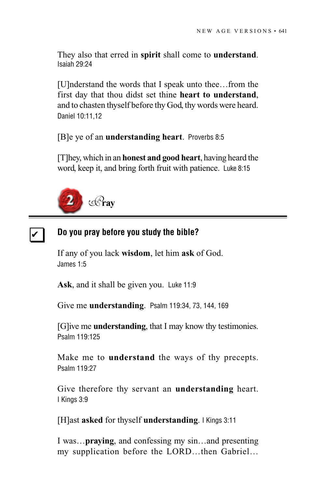They also that erred in **spirit** shall come to **understand**. Isaiah 29:24

[U]nderstand the words that I speak unto thee…from the first day that thou didst set thine **heart to understand**, and to chasten thyself before thy God, thy words were heard. Daniel 10:11,12

[B]e ye of an **understanding heart**. Proverbs 8:5

[T]hey, which in an **honest and good heart**, having heard the word, keep it, and bring forth fruit with patience. Luke 8:15



#### **Do you pray before you study the bible?** ❏ ✔

If any of you lack **wisdom**, let him **ask** of God. James 1:5

**Ask**, and it shall be given you. Luke 11:9

Give me **understanding**. Psalm 119:34, 73, 144, 169

[G]ive me **understanding**, that I may know thy testimonies. Psalm 119:125

Make me to **understand** the ways of thy precepts. Psalm 119:27

Give therefore thy servant an **understanding** heart. I Kings 3:9

[H]ast **asked** for thyself **understanding**. I Kings 3:11

I was…**praying**, and confessing my sin…and presenting my supplication before the LORD…then Gabriel…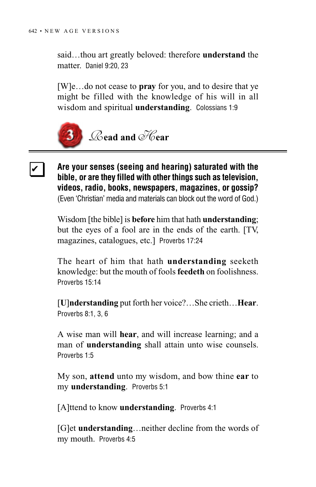said…thou art greatly beloved: therefore **understand** the matter. Daniel 9:20, 23

[W]e…do not cease to **pray** for you, and to desire that ye might be filled with the knowledge of his will in all wisdom and spiritual **understanding**. Colossians 1:9



**Are your senses (seeing and hearing) saturated with the bible, or are they filled with other things such as television, videos, radio, books, newspapers, magazines, or gossip?** (Even 'Christian' media and materials can block out the word of God.) ❏ ✔

> Wisdom [the bible] is **before** him that hath **understanding**; but the eyes of a fool are in the ends of the earth. [TV, magazines, catalogues, etc.] Proverbs 17:24

> The heart of him that hath **understanding** seeketh knowledge: but the mouth of fools **feedeth** on foolishness. Proverbs 15:14

> [**U**]**nderstanding** put forth her voice?…She crieth…**Hear**. Proverbs 8:1, 3, 6

> A wise man will **hear**, and will increase learning; and a man of **understanding** shall attain unto wise counsels. Proverbs 1:5

> My son, **attend** unto my wisdom, and bow thine **ear** to my **understanding**. Proverbs 5:1

[A]ttend to know **understanding**. Proverbs 4:1

[G]et **understanding**…neither decline from the words of my mouth. Proverbs 4:5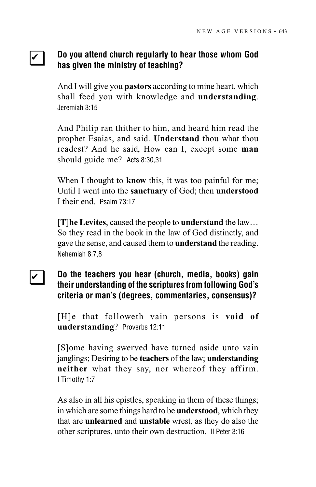### **Do you attend church regularly to hear those whom God has given the ministry of teaching?** ❏ ✔

And I will give you **pastors** according to mine heart, which shall feed you with knowledge and **understanding**. Jeremiah 3:15

And Philip ran thither to him, and heard him read the prophet Esaias, and said. **Understand** thou what thou readest? And he said, How can I, except some **man** should guide me? Acts 8:30,31

When I thought to **know** this, it was too painful for me; Until I went into the **sanctuary** of God; then **understood** I their end. Psalm 73:17

[**T**]**he Levites**, caused the people to **understand** the law… So they read in the book in the law of God distinctly, and gave the sense, and caused them to **understand** the reading. Nehemiah 8:7,8

### **Do the teachers you hear (church, media, books) gain their understanding of the scriptures from following God's criteria or man's (degrees, commentaries, consensus)?** ❏ ✔

[H]e that followeth vain persons is **void of understanding**? Proverbs 12:11

[S]ome having swerved have turned aside unto vain janglings; Desiring to be **teachers** of the law; **understanding neither** what they say, nor whereof they affirm. I Timothy 1:7

As also in all his epistles, speaking in them of these things; in which are some things hard to be **understood**, which they that are **unlearned** and **unstable** wrest, as they do also the other scriptures, unto their own destruction. II Peter 3:16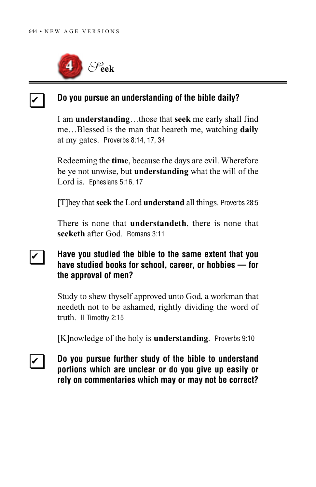❏ ✔



### **Do you pursue an understanding of the bible daily?**

I am **understanding**…those that **seek** me early shall find me…Blessed is the man that heareth me, watching **daily** at my gates. Proverbs 8:14, 17, 34

Redeeming the **time**, because the days are evil. Wherefore be ye not unwise, but **understanding** what the will of the Lord is. Ephesians 5:16, 17

[T]hey that **seek** the Lord **understand** all things. Proverbs 28:5

There is none that **understandeth**, there is none that **seeketh** after God. Romans 3:11

### **Have you studied the bible to the same extent that you have studied books for school, career, or hobbies — for the approval of men?** ❏ ✔

Study to shew thyself approved unto God, a workman that needeth not to be ashamed, rightly dividing the word of truth. II Timothy 2:15

[K]nowledge of the holy is **understanding**. Proverbs 9:10

**Do you pursue further study of the bible to understand portions which are unclear or do you give up easily or rely on commentaries which may or may not be correct?** ❏ ✔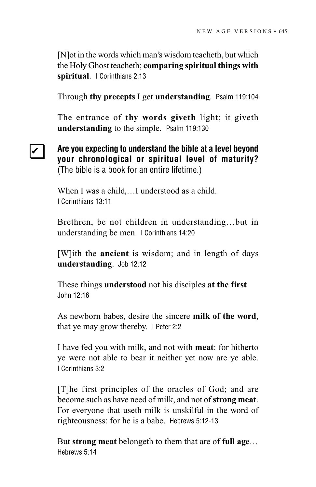[N]ot in the words which man's wisdom teacheth, but which the Holy Ghost teacheth; **comparing spiritual things with spiritual**. I Corinthians 2:13

Through **thy precepts** I get **understanding**. Psalm 119:104

The entrance of **thy words giveth** light; it giveth **understanding** to the simple. Psalm 119:130

## ❏ ✔

**Are you expecting to understand the bible at a level beyond your chronological or spiritual level of maturity?** (The bible is a book for an entire lifetime.)

When I was a child....I understood as a child. I Corinthians 13:11

Brethren, be not children in understanding…but in understanding be men. I Corinthians 14:20

[W]ith the **ancient** is wisdom; and in length of days **understanding**. Job 12:12

These things **understood** not his disciples **at the first** John 12:16

As newborn babes, desire the sincere **milk of the word**, that ye may grow thereby. I Peter 2:2

I have fed you with milk, and not with **meat**: for hitherto ye were not able to bear it neither yet now are ye able. I Corinthians 3:2

[T]he first principles of the oracles of God; and are become such as have need of milk, and not of **strong meat**. For everyone that useth milk is unskilful in the word of righteousness: for he is a babe. Hebrews 5:12-13

But **strong meat** belongeth to them that are of **full age**… Hebrews 5:14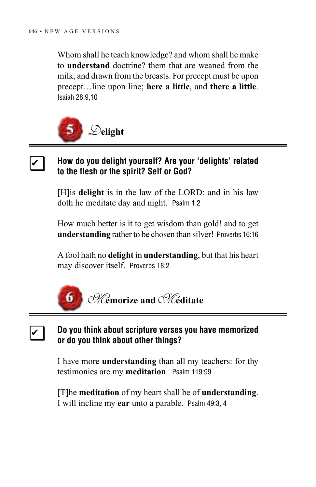Whom shall he teach knowledge? and whom shall he make to **understand** doctrine? them that are weaned from the milk, and drawn from the breasts. For precept must be upon precept…line upon line; **here a little**, and **there a little**. Isaiah 28:9,10



❏ ✔

❏ ✔

### **How do you delight yourself? Are your 'delights' related to the flesh or the spirit? Self or God?**

[H]is **delight** is in the law of the LORD: and in his law doth he meditate day and night. Psalm 1:2

How much better is it to get wisdom than gold! and to get **understanding** rather to be chosen than silver! Proverbs 16:16

A fool hath no **delight** in **understanding**, but that his heart may discover itself. Proverbs 18:2



### **Do you think about scripture verses you have memorized or do you think about other things?**

I have more **understanding** than all my teachers: for thy testimonies are my **meditation**. Psalm 119:99

[T]he **meditation** of my heart shall be of **understanding**. I will incline my **ear** unto a parable. Psalm 49:3, 4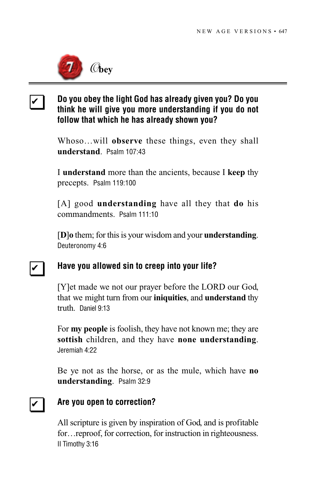

### **Do you obey the light God has already given you? Do you think he will give you more understanding if you do not follow that which he has already shown you?** ❏ ✔

Whoso…will **observe** these things, even they shall **understand**. Psalm 107:43

I **understand** more than the ancients, because I **keep** thy precepts. Psalm 119:100

[A] good **understanding** have all they that **do** his commandments. Psalm 111:10

[**D**]**o** them; for this is your wisdom and your **understanding**. Deuteronomy 4:6

### **Have you allowed sin to creep into your life?** ❏ ✔

[Y]et made we not our prayer before the LORD our God, that we might turn from our **iniquities**, and **understand** thy truth. Daniel 9:13

For **my people** is foolish, they have not known me; they are **sottish** children, and they have **none understanding**. Jeremiah 4:22

Be ye not as the horse, or as the mule, which have **no understanding**. Psalm 32:9

#### **Are you open to correction?** ❏ ✔

All scripture is given by inspiration of God, and is profitable for…reproof, for correction, for instruction in righteousness. II Timothy 3:16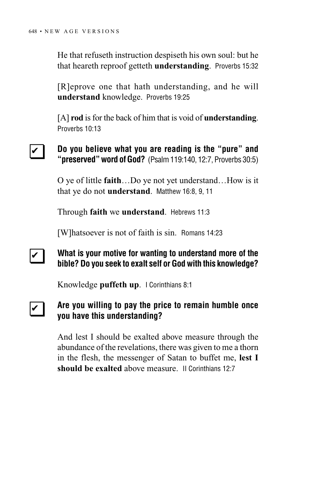He that refuseth instruction despiseth his own soul: but he that heareth reproof getteth **understanding**. Proverbs 15:32

[R]eprove one that hath understanding, and he will **understand** knowledge. Proverbs 19:25

[A] **rod** is for the back of him that is void of **understanding**. Proverbs 10:13

### **Do you believe what you are reading is the "pure" and "preserved" word of God?** (Psalm 119:140, 12:7, Proverbs 30:5) ❏ ✔

O ye of little **faith**…Do ye not yet understand…How is it that ye do not **understand**. Matthew 16:8, 9, 11

Through **faith** we **understand**. Hebrews 11:3

[W]hatsoever is not of faith is sin. Romans 14:23

### **What is your motive for wanting to understand more of the bible? Do you seek to exalt self or God with this knowledge?** ❏ ✔

Knowledge **puffeth up**. I Corinthians 8:1

#### **Are you willing to pay the price to remain humble once you have this understanding?** ❏ ✔

And lest I should be exalted above measure through the abundance of the revelations, there was given to me a thorn in the flesh, the messenger of Satan to buffet me, **lest I should be exalted** above measure. II Corinthians 12:7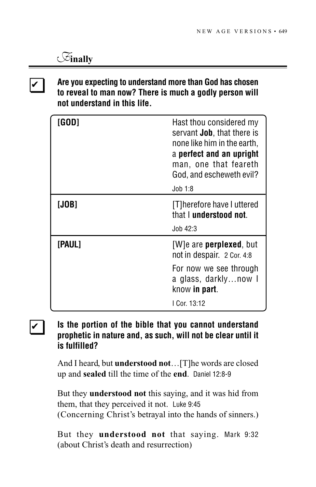## *F***inally**

❏ ✔

## **Are you expecting to understand more than God has chosen to reveal to man now? There is much a godly person will not understand in this life.**

| [GOD]  | Hast thou considered my<br>servant <b>Job</b> , that there is<br>none like him in the earth,<br>a perfect and an upright<br>man, one that feareth<br>God, and escheweth evil?<br>Job 1:8 |
|--------|------------------------------------------------------------------------------------------------------------------------------------------------------------------------------------------|
| [JOB]  | [T] herefore have I uttered<br>that I understood not.<br>J <sub>0</sub> b <sub>42:3</sub>                                                                                                |
| [Paul] | [W]e are <b>perplexed</b> , but<br>not in despair. 2 Cor. 4:8<br>For now we see through<br>a glass, darklynow I<br>know in part.<br>I Cor. 13:12                                         |

## ❏ ✔

## **Is the portion of the bible that you cannot understand prophetic in nature and, as such, will not be clear until it is fulfilled?**

And I heard, but **understood not**…[T]he words are closed up and **sealed** till the time of the **end**. Daniel 12:8-9

But they **understood not** this saying, and it was hid from them, that they perceived it not. Luke 9:45 (Concerning Christ's betrayal into the hands of sinners.)

But they **understood not** that saying. Mark 9:32 (about Christ's death and resurrection)